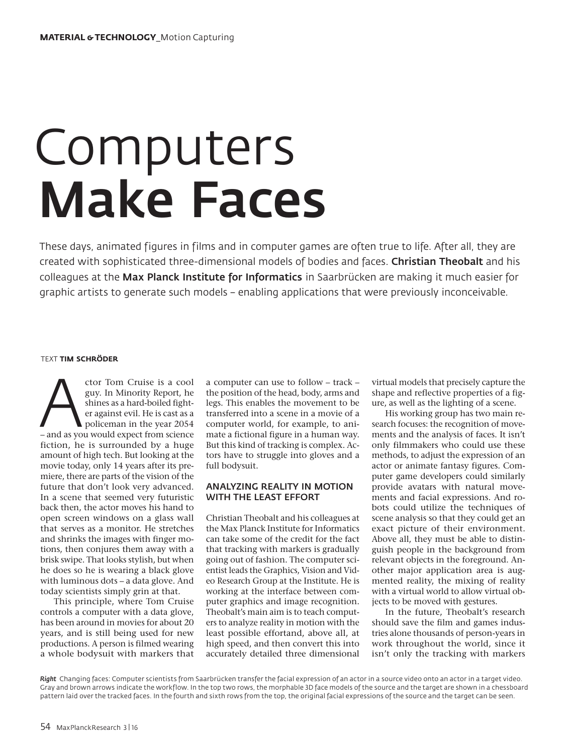# Computers Make Faces

These days, animated figures in films and in computer games are often true to life. After all, they are created with sophisticated three-dimensional models of bodies and faces. Christian Theobalt and his colleagues at the Max Planck Institute for Informatics in Saarbrücken are making it much easier for graphic artists to generate such models – enabling applications that were previously inconceivable.

#### TEXT **TIM SCHRÖDER**

Ctor Tom Cruise is a cool<br>
guy. In Minority Report, he<br>
shines as a hard-boiled fight-<br>
er against evil. He is cast as a<br>
policeman in the year 2054<br>
- and as you would expect from science guy. In Minority Report, he shines as a hard-boiled fighter against evil. He is cast as a policeman in the year 2054 fiction, he is surrounded by a huge amount of high tech. But looking at the movie today, only 14 years after its premiere, there are parts of the vision of the future that don't look very advanced. In a scene that seemed very futuristic back then, the actor moves his hand to open screen windows on a glass wall that serves as a monitor. He stretches and shrinks the images with finger motions, then conjures them away with a brisk swipe. That looks stylish, but when he does so he is wearing a black glove with luminous dots – a data glove. And today scientists simply grin at that.

This principle, where Tom Cruise controls a computer with a data glove, has been around in movies for about 20 years, and is still being used for new productions. A person is filmed wearing a whole bodysuit with markers that a computer can use to follow – track – the position of the head, body, arms and legs. This enables the movement to be transferred into a scene in a movie of a computer world, for example, to animate a fictional figure in a human way. But this kind of tracking is complex. Actors have to struggle into gloves and a full bodysuit.

# ANALYZING REALITY IN MOTION WITH THE LEAST EFFORT

Christian Theobalt and his colleagues at the Max Planck Institute for Informatics can take some of the credit for the fact that tracking with markers is gradually going out of fashion. The computer scientist leads the Graphics, Vision and Video Research Group at the Institute. He is working at the interface between computer graphics and image recognition. Theobalt's main aim is to teach computers to analyze reality in motion with the least possible effortand, above all, at high speed, and then convert this into accurately detailed three dimensional

virtual models that precisely capture the shape and reflective properties of a figure, as well as the lighting of a scene.

His working group has two main research focuses: the recognition of movements and the analysis of faces. It isn't only filmmakers who could use these methods, to adjust the expression of an actor or animate fantasy figures. Computer game developers could similarly provide avatars with natural movements and facial expressions. And robots could utilize the techniques of scene analysis so that they could get an exact picture of their environment. Above all, they must be able to distinguish people in the background from relevant objects in the foreground. Another major application area is augmented reality, the mixing of reality with a virtual world to allow virtual objects to be moved with gestures.

In the future, Theobalt's research should save the film and games industries alone thousands of person-years in work throughout the world, since it isn't only the tracking with markers

*Right* Changing faces: Computer scientists from Saarbrücken transfer the facial expression of an actor in a source video onto an actor in a target video. Gray and brown arrows indicate the workflow. In the top two rows, the morphable 3D face models of the source and the target are shown in a chessboard pattern laid over the tracked faces. In the fourth and sixth rows from the top, the original facial expressions of the source and the target can be seen.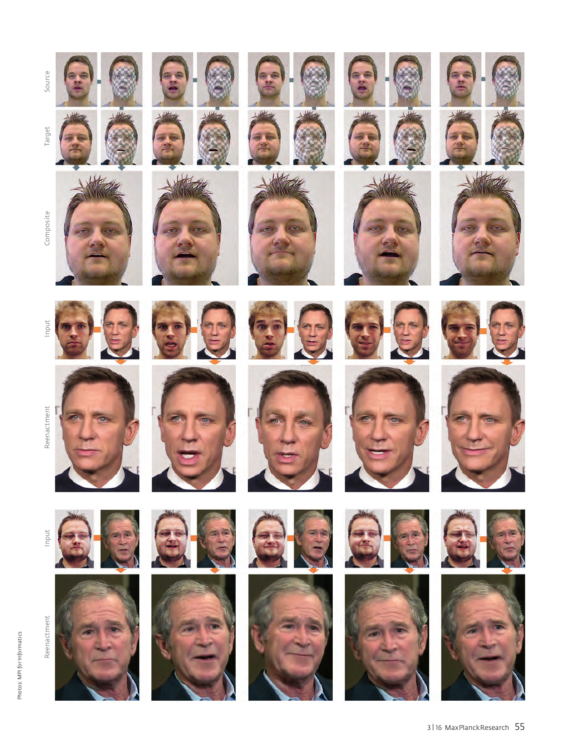

Photos: MPI for Informatics Photos: MPI for Informatics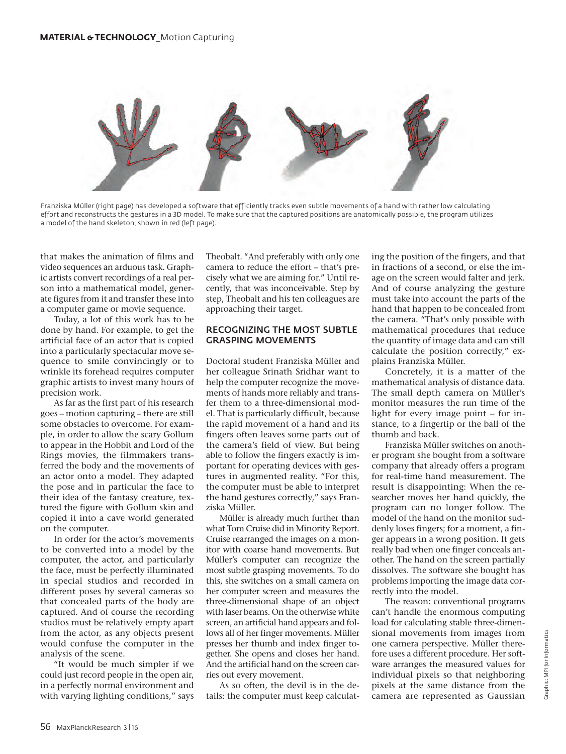

Franziska Müller (right page) has developed a software that efficiently tracks even subtle movements of a hand with rather low calculating effort and reconstructs the gestures in a 3D model. To make sure that the captured positions are anatomically possible, the program utilizes a model of the hand skeleton, shown in red (left page).

that makes the animation of films and video sequences an arduous task. Graphic artists convert recordings of a real person into a mathematical model, generate figures from it and transfer these into a computer game or movie sequence.

Today, a lot of this work has to be done by hand. For example, to get the artificial face of an actor that is copied into a particularly spectacular move sequence to smile convincingly or to wrinkle its forehead requires computer graphic artists to invest many hours of precision work.

As far as the first part of his research goes – motion capturing – there are still some obstacles to overcome. For example, in order to allow the scary Gollum to appear in the Hobbit and Lord of the Rings movies, the filmmakers transferred the body and the movements of an actor onto a model. They adapted the pose and in particular the face to their idea of the fantasy creature, textured the figure with Gollum skin and copied it into a cave world generated on the computer.

In order for the actor's movements to be converted into a model by the computer, the actor, and particularly the face, must be perfectly illuminated in special studios and recorded in different poses by several cameras so that concealed parts of the body are captured. And of course the recording studios must be relatively empty apart from the actor, as any objects present would confuse the computer in the analysis of the scene.

"It would be much simpler if we could just record people in the open air, in a perfectly normal environment and with varying lighting conditions," says Theobalt. "And preferably with only one camera to reduce the effort – that's precisely what we are aiming for." Until recently, that was inconceivable. Step by step, Theobalt and his ten colleagues are approaching their target.

### RECOGNIZING THE MOST SUBTLE GRASPING MOVEMENTS

Doctoral student Franziska Müller and her colleague Srinath Sridhar want to help the computer recognize the movements of hands more reliably and transfer them to a three-dimensional model. That is particularly difficult, because the rapid movement of a hand and its fingers often leaves some parts out of the camera's field of view. But being able to follow the fingers exactly is important for operating devices with gestures in augmented reality. "For this, the computer must be able to interpret the hand gestures correctly," says Franziska Müller.

Müller is already much further than what Tom Cruise did in Minority Report. Cruise rearranged the images on a monitor with coarse hand movements. But Müller's computer can recognize the most subtle grasping movements. To do this, she switches on a small camera on her computer screen and measures the three-dimensional shape of an object with laser beams. On the otherwise white screen, an artificial hand appears and follows all of her finger movements. Müller presses her thumb and index finger together. She opens and closes her hand. And the artificial hand on the screen carries out every movement.

As so often, the devil is in the details: the computer must keep calculating the position of the fingers, and that in fractions of a second, or else the image on the screen would falter and jerk. And of course analyzing the gesture must take into account the parts of the hand that happen to be concealed from the camera. "That's only possible with mathematical procedures that reduce the quantity of image data and can still calculate the position correctly," explains Franziska Müller.

Concretely, it is a matter of the mathematical analysis of distance data. The small depth camera on Müller's monitor measures the run time of the light for every image point – for instance, to a fingertip or the ball of the thumb and back.

Franziska Müller switches on another program she bought from a software company that already offers a program for real-time hand measurement. The result is disappointing: When the researcher moves her hand quickly, the program can no longer follow. The model of the hand on the monitor suddenly loses fingers; for a moment, a finger appears in a wrong position. It gets really bad when one finger conceals another. The hand on the screen partially dissolves. The software she bought has problems importing the image data correctly into the model.

The reason: conventional programs can't handle the enormous computing load for calculating stable three-dimensional movements from images from one camera perspective. Müller therefore uses a different procedure. Her software arranges the measured values for individual pixels so that neighboring pixels at the same distance from the camera are represented as Gaussian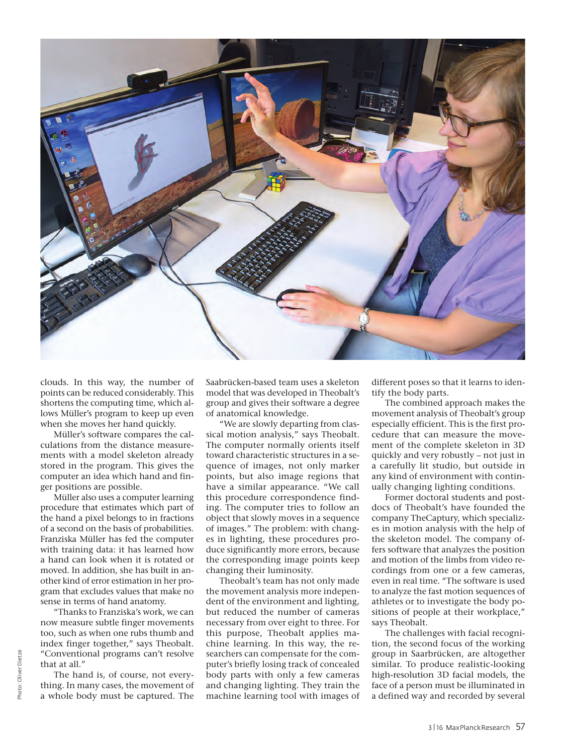

clouds. In this way, the number of points can be reduced considerably. This shortens the computing time, which allows Müller's program to keep up even when she moves her hand quickly.

Müller's software compares the calculations from the distance measurements with a model skeleton already stored in the program. This gives the computer an idea which hand and finger positions are possible.

Müller also uses a computer learning procedure that estimates which part of the hand a pixel belongs to in fractions of a second on the basis of probabilities. Franziska Müller has fed the computer with training data: it has learned how a hand can look when it is rotated or moved. In addition, she has built in another kind of error estimation in her program that excludes values that make no sense in terms of hand anatomy.

"Thanks to Franziska's work, we can now measure subtle finger movements too, such as when one rubs thumb and index finger together," says Theobalt. "Conventional programs can't resolve that at all."

The hand is, of course, not everything. In many cases, the movement of a whole body must be captured. The

Saabrücken-based team uses a skeleton model that was developed in Theobalt's group and gives their software a degree of anatomical knowledge.

"We are slowly departing from classical motion analysis," says Theobalt. The computer normally orients itself toward characteristic structures in a sequence of images, not only marker points, but also image regions that have a similar appearance. "We call this procedure correspondence finding. The computer tries to follow an object that slowly moves in a sequence of images." The problem: with changes in lighting, these procedures produce significantly more errors, because the corresponding image points keep changing their luminosity.

Theobalt's team has not only made the movement analysis more independent of the environment and lighting, but reduced the number of cameras necessary from over eight to three. For this purpose, Theobalt applies machine learning. In this way, the researchers can compensate for the computer's briefly losing track of concealed body parts with only a few cameras and changing lighting. They train the machine learning tool with images of different poses so that it learns to identify the body parts.

The combined approach makes the movement analysis of Theobalt's group especially efficient. This is the first procedure that can measure the movement of the complete skeleton in 3D quickly and very robustly – not just in a carefully lit studio, but outside in any kind of environment with continually changing lighting conditions.

Former doctoral students and postdocs of Theobalt's have founded the company TheCaptury, which specializes in motion analysis with the help of the skeleton model. The company offers software that analyzes the position and motion of the limbs from video recordings from one or a few cameras, even in real time. "The software is used to analyze the fast motion sequences of athletes or to investigate the body positions of people at their workplace," says Theobalt.

The challenges with facial recognition, the second focus of the working group in Saarbrücken, are altogether similar. To produce realistic-looking high-resolution 3D facial models, the face of a person must be illuminated in a defined way and recorded by several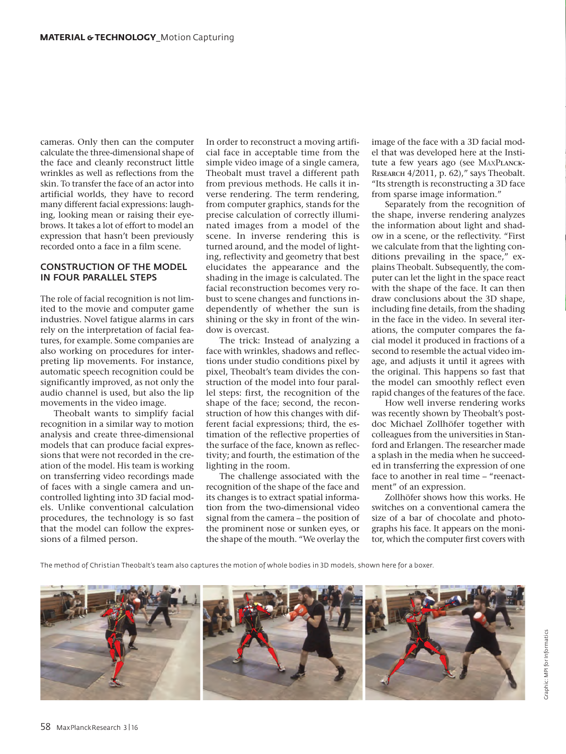cameras. Only then can the computer calculate the three-dimensional shape of the face and cleanly reconstruct little wrinkles as well as reflections from the skin. To transfer the face of an actor into artificial worlds, they have to record many different facial expressions: laughing, looking mean or raising their eyebrows. It takes a lot of effort to model an expression that hasn't been previously recorded onto a face in a film scene.

## CONSTRUCTION OF THE MODEL IN FOUR PARALLEL STEPS

The role of facial recognition is not limited to the movie and computer game industries. Novel fatigue alarms in cars rely on the interpretation of facial features, for example. Some companies are also working on procedures for interpreting lip movements. For instance, automatic speech recognition could be significantly improved, as not only the audio channel is used, but also the lip movements in the video image.

Theobalt wants to simplify facial recognition in a similar way to motion analysis and create three-dimensional models that can produce facial expressions that were not recorded in the creation of the model. His team is working on transferring video recordings made of faces with a single camera and uncontrolled lighting into 3D facial models. Unlike conventional calculation procedures, the technology is so fast that the model can follow the expressions of a filmed person.

In order to reconstruct a moving artificial face in acceptable time from the simple video image of a single camera, Theobalt must travel a different path from previous methods. He calls it inverse rendering. The term rendering, from computer graphics, stands for the precise calculation of correctly illuminated images from a model of the scene. In inverse rendering this is turned around, and the model of lighting, reflectivity and geometry that best elucidates the appearance and the shading in the image is calculated. The facial reconstruction becomes very robust to scene changes and functions independently of whether the sun is shining or the sky in front of the window is overcast.

The trick: Instead of analyzing a face with wrinkles, shadows and reflections under studio conditions pixel by pixel, Theobalt's team divides the construction of the model into four parallel steps: first, the recognition of the shape of the face; second, the reconstruction of how this changes with different facial expressions; third, the estimation of the reflective properties of the surface of the face, known as reflectivity; and fourth, the estimation of the lighting in the room.

The challenge associated with the recognition of the shape of the face and its changes is to extract spatial information from the two-dimensional video signal from the camera – the position of the prominent nose or sunken eyes, or the shape of the mouth. "We overlay the

image of the face with a 3D facial model that was developed here at the Institute a few years ago (see MaxP**lanck-**R**esearch** 4/2011, p. 62)," says Theobalt. "Its strength is reconstructing a 3D face from sparse image information."

Separately from the recognition of the shape, inverse rendering analyzes the information about light and shadow in a scene, or the reflectivity. "First we calculate from that the lighting conditions prevailing in the space," explains Theobalt. Subsequently, the computer can let the light in the space react with the shape of the face. It can then draw conclusions about the 3D shape, including fine details, from the shading in the face in the video. In several iterations, the computer compares the facial model it produced in fractions of a second to resemble the actual video image, and adjusts it until it agrees with the original. This happens so fast that the model can smoothly reflect even rapid changes of the features of the face.

How well inverse rendering works was recently shown by Theobalt's postdoc Michael Zollhöfer together with colleagues from the universities in Stanford and Erlangen. The researcher made a splash in the media when he succeeded in transferring the expression of one face to another in real time – "reenactment" of an expression.

Zollhöfer shows how this works. He switches on a conventional camera the size of a bar of chocolate and photographs his face. It appears on the monitor, which the computer first covers with

The method of Christian Theobalt's team also captures the motion of whole bodies in 3D models, shown here for a boxer.